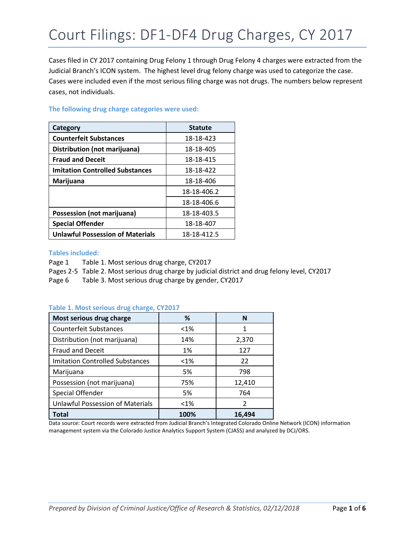Cases filed in CY 2017 containing Drug Felony 1 through Drug Felony 4 charges were extracted from the Judicial Branch's ICON system. The highest level drug felony charge was used to categorize the case. Cases were included even if the most serious filing charge was not drugs. The numbers below represent cases, not individuals.

| Category                                | <b>Statute</b> |
|-----------------------------------------|----------------|
| <b>Counterfeit Substances</b>           | 18-18-423      |
| Distribution (not marijuana)            | 18-18-405      |
| <b>Fraud and Deceit</b>                 | 18-18-415      |
| <b>Imitation Controlled Substances</b>  | 18-18-422      |
| Marijuana                               | 18-18-406      |
|                                         | 18-18-406.2    |
|                                         | 18-18-406.6    |
| Possession (not marijuana)              | 18-18-403.5    |
| <b>Special Offender</b>                 | 18-18-407      |
| <b>Unlawful Possession of Materials</b> | 18-18-412.5    |

### **The following drug charge categories were used:**

#### **Tables included:**

Page 1 Table 1. Most serious drug charge, CY2017 Pages 2-5 Table 2. Most serious drug charge by judicial district and drug felony level, CY2017 Page 6 Table 3. Most serious drug charge by gender, CY2017

#### **Table 1. Most serious drug charge, CY2017**

| Most serious drug charge                | ℅       | N             |
|-----------------------------------------|---------|---------------|
| <b>Counterfeit Substances</b>           | $< 1\%$ | 1             |
| Distribution (not marijuana)            | 14%     | 2,370         |
| <b>Fraud and Deceit</b>                 | 1%      | 127           |
| <b>Imitation Controlled Substances</b>  | $< 1\%$ | 22            |
| Marijuana                               | 5%      | 798           |
| Possession (not marijuana)              | 75%     | 12,410        |
| Special Offender                        | 5%      | 764           |
| <b>Unlawful Possession of Materials</b> | $< 1\%$ | $\mathcal{P}$ |
| Total                                   | 100%    | 16,494        |

Data source: Court records were extracted from Judicial Branch's Integrated Colorado Online Network (ICON) information management system via the Colorado Justice Analytics Support System (CJASS) and analyzed by DCJ/ORS.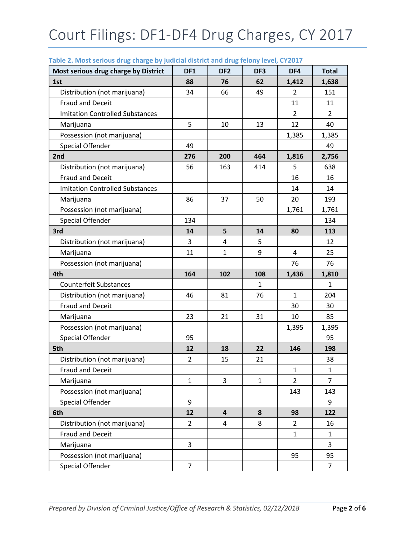| Most serious drug charge by District   | DF1            | DF <sub>2</sub> | DF <sub>3</sub> | DF4            | <b>Total</b>   |
|----------------------------------------|----------------|-----------------|-----------------|----------------|----------------|
| 1st                                    | 88             | 76              | 62              | 1,412          | 1,638          |
| Distribution (not marijuana)           | 34             | 66              | 49              | 2              | 151            |
| <b>Fraud and Deceit</b>                |                |                 |                 | 11             | 11             |
| <b>Imitation Controlled Substances</b> |                |                 |                 | $\overline{2}$ | $\overline{2}$ |
| Marijuana                              | 5              | 10              | 13              | 12             | 40             |
| Possession (not marijuana)             |                |                 |                 | 1,385          | 1,385          |
| <b>Special Offender</b>                | 49             |                 |                 |                | 49             |
| 2nd                                    | 276            | 200             | 464             | 1,816          | 2,756          |
| Distribution (not marijuana)           | 56             | 163             | 414             | 5              | 638            |
| <b>Fraud and Deceit</b>                |                |                 |                 | 16             | 16             |
| <b>Imitation Controlled Substances</b> |                |                 |                 | 14             | 14             |
| Marijuana                              | 86             | 37              | 50              | 20             | 193            |
| Possession (not marijuana)             |                |                 |                 | 1,761          | 1,761          |
| <b>Special Offender</b>                | 134            |                 |                 |                | 134            |
| 3rd                                    | 14             | 5               | 14              | 80             | 113            |
| Distribution (not marijuana)           | 3              | 4               | 5               |                | 12             |
| Marijuana                              | 11             | $\mathbf{1}$    | 9               | 4              | 25             |
| Possession (not marijuana)             |                |                 |                 | 76             | 76             |
| 4th                                    | 164            | 102             | 108             | 1,436          | 1,810          |
| <b>Counterfeit Substances</b>          |                |                 | 1               |                | 1              |
| Distribution (not marijuana)           | 46             | 81              | 76              | $\mathbf{1}$   | 204            |
| <b>Fraud and Deceit</b>                |                |                 |                 | 30             | 30             |
| Marijuana                              | 23             | 21              | 31              | 10             | 85             |
| Possession (not marijuana)             |                |                 |                 | 1,395          | 1,395          |
| <b>Special Offender</b>                | 95             |                 |                 |                | 95             |
| 5th                                    | 12             | 18              | 22              | 146            | 198            |
| Distribution (not marijuana)           | $\overline{2}$ | 15              | 21              |                | 38             |
| <b>Fraud and Deceit</b>                |                |                 |                 | 1              | 1              |
| Marijuana                              | $\mathbf{1}$   | 3               | $\mathbf{1}$    | $\overline{2}$ | $\overline{7}$ |
| Possession (not marijuana)             |                |                 |                 | 143            | 143            |
| <b>Special Offender</b>                | 9              |                 |                 |                | 9              |
| 6th                                    | 12             | 4               | 8               | 98             | 122            |
| Distribution (not marijuana)           | $\overline{2}$ | 4               | 8               | $\overline{2}$ | 16             |
| <b>Fraud and Deceit</b>                |                |                 |                 | $\mathbf{1}$   | $\mathbf{1}$   |
| Marijuana                              | 3              |                 |                 |                | 3              |
| Possession (not marijuana)             |                |                 |                 |                |                |
|                                        |                |                 |                 | 95             | 95             |

### **Table 2. Most serious drug charge by judicial district and drug felony level, CY2017**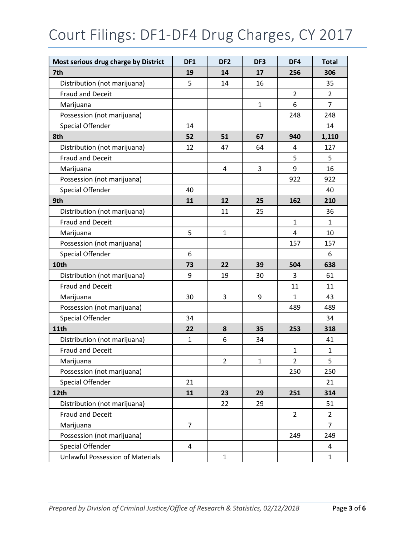# Court Filings: DF1-DF4 Drug Charges, CY 2017

| Most serious drug charge by District | DF1            | DF <sub>2</sub> | DF3          | DF4            | <b>Total</b>   |
|--------------------------------------|----------------|-----------------|--------------|----------------|----------------|
| 7th                                  | 19             | 14              | 17           | 256            | 306            |
| Distribution (not marijuana)         | 5              | 14              | 16           |                | 35             |
| <b>Fraud and Deceit</b>              |                |                 |              | $\overline{2}$ | 2              |
| Marijuana                            |                |                 | $\mathbf{1}$ | 6              | $\overline{7}$ |
| Possession (not marijuana)           |                |                 |              | 248            | 248            |
| <b>Special Offender</b>              | 14             |                 |              |                | 14             |
| 8th                                  | 52             | 51              | 67           | 940            | 1,110          |
| Distribution (not marijuana)         | 12             | 47              | 64           | 4              | 127            |
| <b>Fraud and Deceit</b>              |                |                 |              | 5              | 5              |
| Marijuana                            |                | 4               | 3            | 9              | 16             |
| Possession (not marijuana)           |                |                 |              | 922            | 922            |
| <b>Special Offender</b>              | 40             |                 |              |                | 40             |
| 9th                                  | 11             | 12              | 25           | 162            | 210            |
| Distribution (not marijuana)         |                | 11              | 25           |                | 36             |
| <b>Fraud and Deceit</b>              |                |                 |              | $\mathbf{1}$   | $\mathbf{1}$   |
| Marijuana                            | 5              | $\mathbf{1}$    |              | $\overline{4}$ | 10             |
| Possession (not marijuana)           |                |                 |              | 157            | 157            |
| <b>Special Offender</b>              | 6              |                 |              |                | 6              |
| 10th                                 | 73             | 22              | 39           | 504            | 638            |
| Distribution (not marijuana)         | 9              | 19              | 30           | 3              | 61             |
| Fraud and Deceit                     |                |                 |              | 11             | 11             |
| Marijuana                            | 30             | 3               | 9            | $\mathbf{1}$   | 43             |
| Possession (not marijuana)           |                |                 |              | 489            | 489            |
| <b>Special Offender</b>              | 34             |                 |              |                | 34             |
| <b>11th</b>                          | 22             | 8               | 35           | 253            | 318            |
| Distribution (not marijuana)         | $\mathbf{1}$   | 6               | 34           |                | 41             |
| <b>Fraud and Deceit</b>              |                |                 |              | $\mathbf{1}$   | 1              |
| Marijuana                            |                | $\overline{2}$  | $\mathbf 1$  | $\mathbf 2$    | 5              |
| Possession (not marijuana)           |                |                 |              | 250            | 250            |
| <b>Special Offender</b>              | 21             |                 |              |                | 21             |
| 12th                                 | 11             | 23              | 29           | 251            | 314            |
| Distribution (not marijuana)         |                | 22              | 29           |                | 51             |
| <b>Fraud and Deceit</b>              |                |                 |              | $\overline{2}$ | $\overline{2}$ |
| Marijuana                            | $\overline{7}$ |                 |              |                | $\overline{7}$ |
| Possession (not marijuana)           |                |                 |              | 249            | 249            |
| <b>Special Offender</b>              | $\overline{4}$ |                 |              |                | 4              |
| Unlawful Possession of Materials     |                | $\mathbf 1$     |              |                | $\mathbf{1}$   |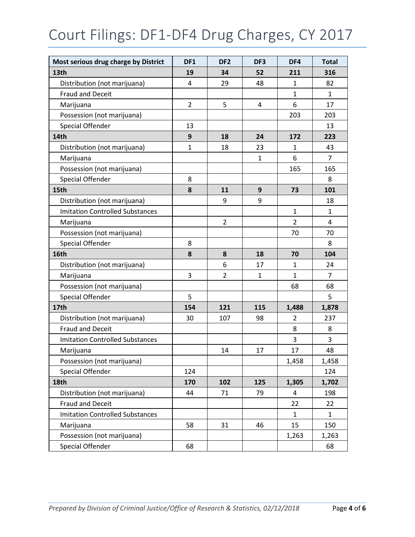# Court Filings: DF1-DF4 Drug Charges, CY 2017

| Most serious drug charge by District   | DF <sub>1</sub> | DF <sub>2</sub> | DF3          | DF4            | <b>Total</b>   |
|----------------------------------------|-----------------|-----------------|--------------|----------------|----------------|
| 13th                                   | 19              | 34              | 52           | 211            | 316            |
| Distribution (not marijuana)           | $\overline{4}$  | 29              | 48           | $\mathbf{1}$   | 82             |
| <b>Fraud and Deceit</b>                |                 |                 |              | $\mathbf{1}$   | 1              |
| Marijuana                              | $\overline{2}$  | 5               | 4            | 6              | 17             |
| Possession (not marijuana)             |                 |                 |              | 203            | 203            |
| <b>Special Offender</b>                | 13              |                 |              |                | 13             |
| 14th                                   | 9               | 18              | 24           | 172            | 223            |
| Distribution (not marijuana)           | $\mathbf{1}$    | 18              | 23           | $\mathbf{1}$   | 43             |
| Marijuana                              |                 |                 | $\mathbf{1}$ | 6              | 7              |
| Possession (not marijuana)             |                 |                 |              | 165            | 165            |
| <b>Special Offender</b>                | 8               |                 |              |                | 8              |
| 15th                                   | 8               | 11              | 9            | 73             | 101            |
| Distribution (not marijuana)           |                 | 9               | 9            |                | 18             |
| <b>Imitation Controlled Substances</b> |                 |                 |              | $\mathbf{1}$   | 1              |
| Marijuana                              |                 | $\overline{2}$  |              | $\overline{2}$ | 4              |
| Possession (not marijuana)             |                 |                 |              | 70             | 70             |
| <b>Special Offender</b>                | 8               |                 |              |                | 8              |
| 16th                                   | 8               | 8               | 18           | 70             | 104            |
| Distribution (not marijuana)           |                 | 6               | 17           | 1              | 24             |
| Marijuana                              | 3               | $\overline{2}$  | $\mathbf{1}$ | $\mathbf{1}$   | $\overline{7}$ |
| Possession (not marijuana)             |                 |                 |              | 68             | 68             |
| <b>Special Offender</b>                | 5               |                 |              |                | 5              |
| 17th                                   | 154             | 121             | 115          | 1,488          | 1,878          |
| Distribution (not marijuana)           | 30              | 107             | 98           | $\overline{2}$ | 237            |
| <b>Fraud and Deceit</b>                |                 |                 |              | 8              | 8              |
| <b>Imitation Controlled Substances</b> |                 |                 |              | 3              | 3              |
| Marijuana                              |                 | 14              | 17           | 17             | 48             |
| Possession (not marijuana)             |                 |                 |              | 1,458          | 1,458          |
| Special Offender                       | 124             |                 |              |                | 124            |
| 18th                                   | 170             | 102             | 125          | 1,305          | 1,702          |
| Distribution (not marijuana)           | 44              | 71              | 79           | $\overline{4}$ | 198            |
| <b>Fraud and Deceit</b>                |                 |                 |              | 22             | 22             |
| <b>Imitation Controlled Substances</b> |                 |                 |              | $\mathbf{1}$   | 1              |
| Marijuana                              | 58              | 31              | 46           | 15             | 150            |
| Possession (not marijuana)             |                 |                 |              | 1,263          | 1,263          |
| Special Offender                       | 68              |                 |              |                | 68             |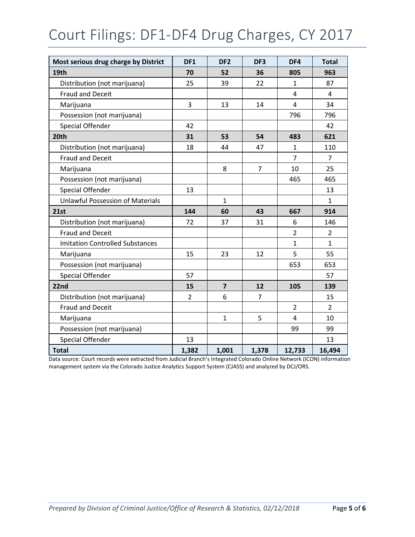## Court Filings: DF1-DF4 Drug Charges, CY 2017

| Most serious drug charge by District    | DF <sub>1</sub> | DF <sub>2</sub> | DF3            | DF4                     | <b>Total</b>   |
|-----------------------------------------|-----------------|-----------------|----------------|-------------------------|----------------|
| 19th                                    | 70              | 52              | 36             | 805                     | 963            |
| Distribution (not marijuana)            | 25              | 39              | 22             | $\mathbf{1}$            | 87             |
| <b>Fraud and Deceit</b>                 |                 |                 |                | 4                       | 4              |
| Marijuana                               | 3               | 13              | 14             | $\overline{\mathbf{4}}$ | 34             |
| Possession (not marijuana)              |                 |                 |                | 796                     | 796            |
| <b>Special Offender</b>                 | 42              |                 |                |                         | 42             |
| 20th                                    | 31              | 53              | 54             | 483                     | 621            |
| Distribution (not marijuana)            | 18              | 44              | 47             | $\mathbf{1}$            | 110            |
| <b>Fraud and Deceit</b>                 |                 |                 |                | $\overline{7}$          | 7              |
| Marijuana                               |                 | 8               | $\overline{7}$ | 10                      | 25             |
| Possession (not marijuana)              |                 |                 |                | 465                     | 465            |
| <b>Special Offender</b>                 | 13              |                 |                |                         | 13             |
| <b>Unlawful Possession of Materials</b> |                 | $\mathbf{1}$    |                |                         | $\mathbf{1}$   |
| 21st                                    | 144             | 60              | 43             | 667                     | 914            |
| Distribution (not marijuana)            | 72              | 37              | 31             | 6                       | 146            |
| <b>Fraud and Deceit</b>                 |                 |                 |                | $\overline{2}$          | $\overline{2}$ |
| <b>Imitation Controlled Substances</b>  |                 |                 |                | $\mathbf{1}$            | $\mathbf{1}$   |
| Marijuana                               | 15              | 23              | 12             | 5                       | 55             |
| Possession (not marijuana)              |                 |                 |                | 653                     | 653            |
| <b>Special Offender</b>                 | 57              |                 |                |                         | 57             |
| 22nd                                    | 15              | $\overline{7}$  | 12             | 105                     | 139            |
| Distribution (not marijuana)            | $\overline{2}$  | 6               | $\overline{7}$ |                         | 15             |
| <b>Fraud and Deceit</b>                 |                 |                 |                | $\overline{2}$          | $\overline{2}$ |
| Marijuana                               |                 | $\mathbf{1}$    | 5              | $\overline{4}$          | 10             |
| Possession (not marijuana)              |                 |                 |                | 99                      | 99             |
| <b>Special Offender</b>                 | 13              |                 |                |                         | 13             |
| <b>Total</b>                            | 1,382           | 1,001           | 1,378          | 12,733                  | 16,494         |

Data source: Court records were extracted from Judicial Branch's Integrated Colorado Online Network (ICON) information management system via the Colorado Justice Analytics Support System (CJASS) and analyzed by DCJ/ORS.